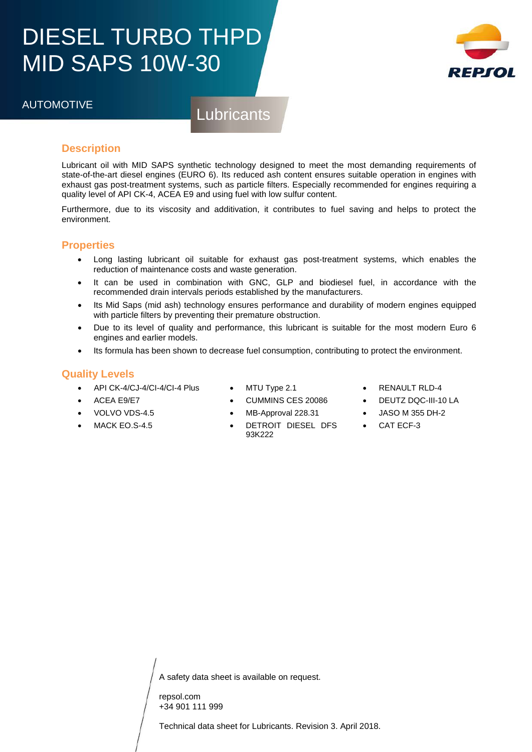## DIESEL TURBO THPD MID SAPS 10W-30



## AUTOMOTIVE Lubricants

### **Description**

Lubricant oil with MID SAPS synthetic technology designed to meet the most demanding requirements of state-of-the-art diesel engines (EURO 6). Its reduced ash content ensures suitable operation in engines with exhaust gas post-treatment systems, such as particle filters. Especially recommended for engines requiring a quality level of API CK-4, ACEA E9 and using fuel with low sulfur content.

Furthermore, due to its viscosity and additivation, it contributes to fuel saving and helps to protect the environment.

#### **Properties**

- Long lasting lubricant oil suitable for exhaust gas post-treatment systems, which enables the reduction of maintenance costs and waste generation.
- It can be used in combination with GNC, GLP and biodiesel fuel, in accordance with the recommended drain intervals periods established by the manufacturers.
- Its Mid Saps (mid ash) technology ensures performance and durability of modern engines equipped with particle filters by preventing their premature obstruction.
- Due to its level of quality and performance, this lubricant is suitable for the most modern Euro 6 engines and earlier models.
- **Duality Levels** • Its formula has been shown to decrease fuel consumption, contributing to protect the environment.

#### **Quality Levels**

• ACEA E9/E7 • VOLVO VDS-4.5 MACK EO.S-4.5

AUTO CONTRACTOR

- $API CK-4/CJ-4/CI-4/CI-4 Plus$ <br>•  $ACFA F9/F7$
- MTU Type 2.1
- CUMMINS CES 20086
- MB-Approval 228.31
- DETROIT DIESEL DFS 93K222
- RENAULT RLD-4
- DEUTZ DQC-III-10 LA
- JASO M 355 DH-2
- CAT ECF-3

A safety data sheet is available on request.

repsol.com +34 901 111 999

Technical data sheet for Lubricants. Revision 3. April 2018.